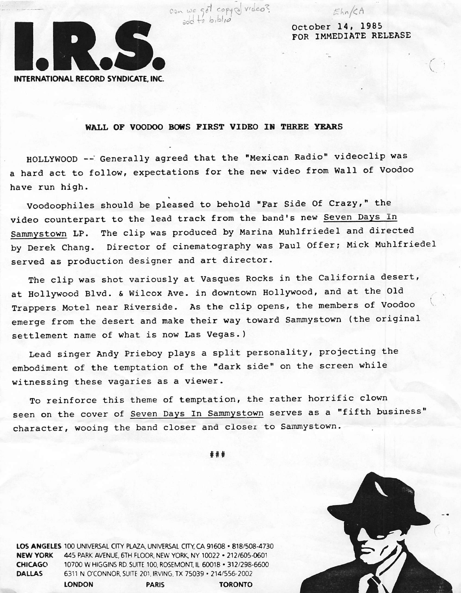

October 14, 1985 FOR IMMEDIATE RELEASE

Ehn/CA

## WALL OF VOODOO BOWS FIRST VIDEO IN THREE YEARS

 $ab + b$ , $b$ 

HOLLYWOOD -- Generally agreed that the "Mexican Radio" videoclip was a hard act to follow, expectations for the new video from Wall of Voodoo have run high.

video counterpart to the lead track from the band's new Seven Days In Sammystown LP. The clip was produced by Marina Muhlfriedel and directed by Derek Chang. Director of cinematography was Paul Offer; Mick Muhlfriedel served as production designer and art director. Voodoophiles should be pleased to behold "Far Side Of Crazy," the

The clip was shot variously at Vasques Rocks in the California desert, at Hollywood Blvd. & Wilcox Ave. in downtown Hollywood, and at the Old Trappers Motel near Riverside. As the clip opens, the members of Voodoo emerge from the desert and make their way toward Sammystown (the original settlement name of what is now Las Vegas.)

Lead singer Andy Prieboy plays a split personality, projecting the embodiment of the temptation of the "dark side" on the screen while witnessing these vagaries as a viewer.

To reinforce this theme of temptation, the rather horrific clown seen on the cover of Seven Days In Sammystown serves as a "fifth business" character, wooing the band closer and closer to Sammystown.

«##



LOS ANGELES 100 UNIVERSAL CITY PLAZA, UNIVERSAL CITY, CA 91608 · 818/508-4730 NEW YORK 445 PARK AVENUE, 6TH FLOOR, NEW YORK. NY 10022 • 212/605-0601 CHICAGO 10700 W HIGGINS RD SUITE 100, ROSEMONT. IL 60018 - 312/298-6600 DALLAS 6311 N O'CONNOR. SUITE 201, IRVING, TX 75039 • 214/556-2002 LONDON PARIS TORONTO